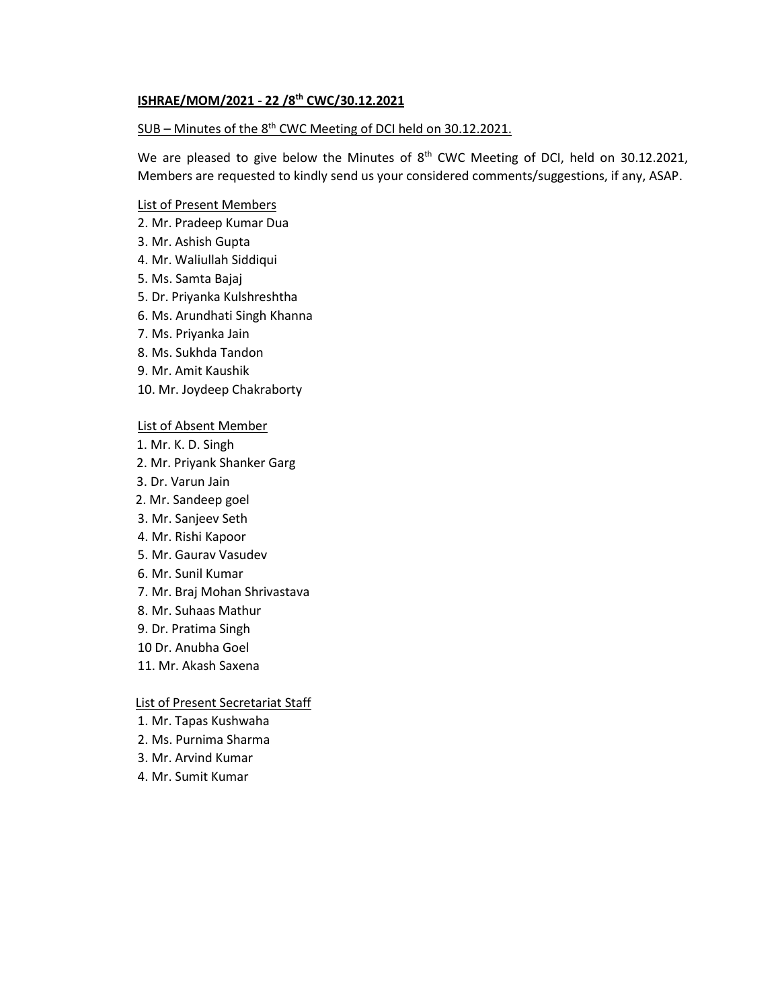## **ISHRAE/MOM/2021 - 22 /8th CWC/30.12.2021**

### SUB – Minutes of the 8<sup>th</sup> CWC Meeting of DCI held on 30.12.2021.

We are pleased to give below the Minutes of 8<sup>th</sup> CWC Meeting of DCI, held on 30.12.2021, Members are requested to kindly send us your considered comments/suggestions, if any, ASAP.

## List of Present Members

- 2. Mr. Pradeep Kumar Dua
- 3. Mr. Ashish Gupta
- 4. Mr. Waliullah Siddiqui
- 5. Ms. Samta Bajaj
- 5. Dr. Priyanka Kulshreshtha
- 6. Ms. Arundhati Singh Khanna
- 7. Ms. Priyanka Jain
- 8. Ms. Sukhda Tandon
- 9. Mr. Amit Kaushik
- 10. Mr. Joydeep Chakraborty

#### List of Absent Member

- 1. Mr. K. D. Singh
- 2. Mr. Priyank Shanker Garg
- 3. Dr. Varun Jain
- 2. Mr. Sandeep goel
- 3. Mr. Sanjeev Seth
- 4. Mr. Rishi Kapoor
- 5. Mr. Gaurav Vasudev
- 6. Mr. Sunil Kumar
- 7. Mr. Braj Mohan Shrivastava
- 8. Mr. Suhaas Mathur
- 9. Dr. Pratima Singh
- 10 Dr. Anubha Goel
- 11. Mr. Akash Saxena

#### List of Present Secretariat Staff

- 1. Mr. Tapas Kushwaha
- 2. Ms. Purnima Sharma
- 3. Mr. Arvind Kumar
- 4. Mr. Sumit Kumar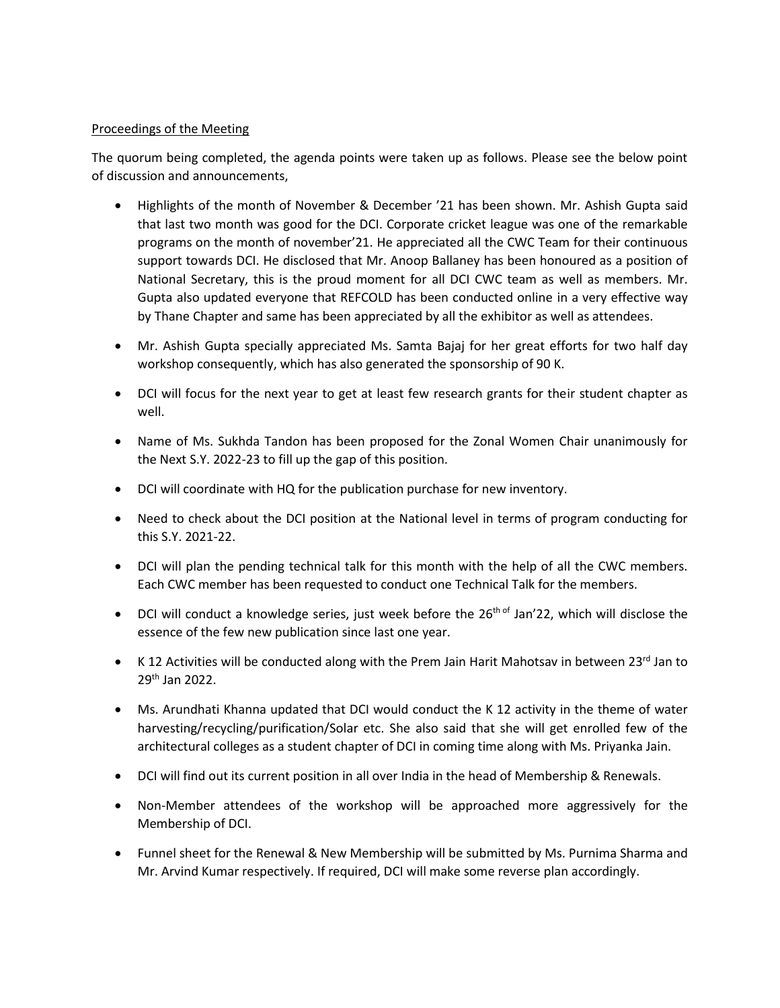# Proceedings of the Meeting

The quorum being completed, the agenda points were taken up as follows. Please see the below point of discussion and announcements,

- Highlights of the month of November & December '21 has been shown. Mr. Ashish Gupta said that last two month was good for the DCI. Corporate cricket league was one of the remarkable programs on the month of november'21. He appreciated all the CWC Team for their continuous support towards DCI. He disclosed that Mr. Anoop Ballaney has been honoured as a position of National Secretary, this is the proud moment for all DCI CWC team as well as members. Mr. Gupta also updated everyone that REFCOLD has been conducted online in a very effective way by Thane Chapter and same has been appreciated by all the exhibitor as well as attendees.
- Mr. Ashish Gupta specially appreciated Ms. Samta Bajaj for her great efforts for two half day workshop consequently, which has also generated the sponsorship of 90 K.
- DCI will focus for the next year to get at least few research grants for their student chapter as well.
- Name of Ms. Sukhda Tandon has been proposed for the Zonal Women Chair unanimously for the Next S.Y. 2022-23 to fill up the gap of this position.
- DCI will coordinate with HQ for the publication purchase for new inventory.
- Need to check about the DCI position at the National level in terms of program conducting for this S.Y. 2021-22.
- DCI will plan the pending technical talk for this month with the help of all the CWC members. Each CWC member has been requested to conduct one Technical Talk for the members.
- DCI will conduct a knowledge series, just week before the  $26<sup>th of</sup>$  Jan'22, which will disclose the essence of the few new publication since last one year.
- K 12 Activities will be conducted along with the Prem Jain Harit Mahotsav in between  $23^{\text{rd}}$  Jan to 29th Jan 2022.
- Ms. Arundhati Khanna updated that DCI would conduct the K 12 activity in the theme of water harvesting/recycling/purification/Solar etc. She also said that she will get enrolled few of the architectural colleges as a student chapter of DCI in coming time along with Ms. Priyanka Jain.
- DCI will find out its current position in all over India in the head of Membership & Renewals.
- Non-Member attendees of the workshop will be approached more aggressively for the Membership of DCI.
- Funnel sheet for the Renewal & New Membership will be submitted by Ms. Purnima Sharma and Mr. Arvind Kumar respectively. If required, DCI will make some reverse plan accordingly.